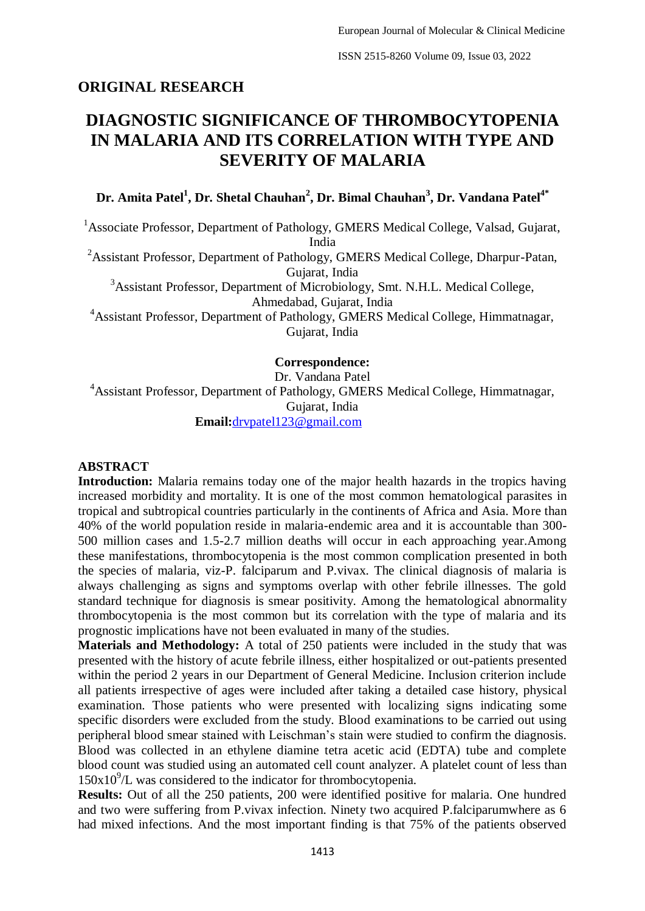## **ORIGINAL RESEARCH**

# **DIAGNOSTIC SIGNIFICANCE OF THROMBOCYTOPENIA IN MALARIA AND ITS CORRELATION WITH TYPE AND SEVERITY OF MALARIA**

**Dr. Amita Patel<sup>1</sup> , Dr. Shetal Chauhan<sup>2</sup> , Dr. Bimal Chauhan<sup>3</sup> , Dr. Vandana Patel4\***

<sup>1</sup> Associate Professor, Department of Pathology, GMERS Medical College, Valsad, Gujarat, India

<sup>2</sup>Assistant Professor, Department of Pathology, GMERS Medical College, Dharpur-Patan, Gujarat, India <sup>3</sup>Assistant Professor, Department of Microbiology, Smt. N.H.L. Medical College,

Ahmedabad, Gujarat, India

<sup>4</sup>Assistant Professor, Department of Pathology, GMERS Medical College, Himmatnagar, Gujarat, India

### **Correspondence:**

Dr. Vandana Patel

<sup>4</sup>Assistant Professor, Department of Pathology, GMERS Medical College, Himmatnagar, Gujarat, India **Email:**[drvpatel123@gmail.com](mailto:drvpatel123@gmail.com)

#### **ABSTRACT**

**Introduction:** Malaria remains today one of the major health hazards in the tropics having increased morbidity and mortality. It is one of the most common hematological parasites in tropical and subtropical countries particularly in the continents of Africa and Asia. More than 40% of the world population reside in malaria-endemic area and it is accountable than 300- 500 million cases and 1.5-2.7 million deaths will occur in each approaching year.Among these manifestations, thrombocytopenia is the most common complication presented in both the species of malaria, viz-P. falciparum and P.vivax. The clinical diagnosis of malaria is always challenging as signs and symptoms overlap with other febrile illnesses. The gold standard technique for diagnosis is smear positivity. Among the hematological abnormality thrombocytopenia is the most common but its correlation with the type of malaria and its prognostic implications have not been evaluated in many of the studies.

**Materials and Methodology:** A total of 250 patients were included in the study that was presented with the history of acute febrile illness, either hospitalized or out-patients presented within the period 2 years in our Department of General Medicine. Inclusion criterion include all patients irrespective of ages were included after taking a detailed case history, physical examination. Those patients who were presented with localizing signs indicating some specific disorders were excluded from the study. Blood examinations to be carried out using peripheral blood smear stained with Leischman's stain were studied to confirm the diagnosis. Blood was collected in an ethylene diamine tetra acetic acid (EDTA) tube and complete blood count was studied using an automated cell count analyzer. A platelet count of less than  $150x10<sup>9</sup>/L$  was considered to the indicator for thrombocytopenia.

**Results:** Out of all the 250 patients, 200 were identified positive for malaria. One hundred and two were suffering from P.vivax infection. Ninety two acquired P.falciparumwhere as 6 had mixed infections. And the most important finding is that 75% of the patients observed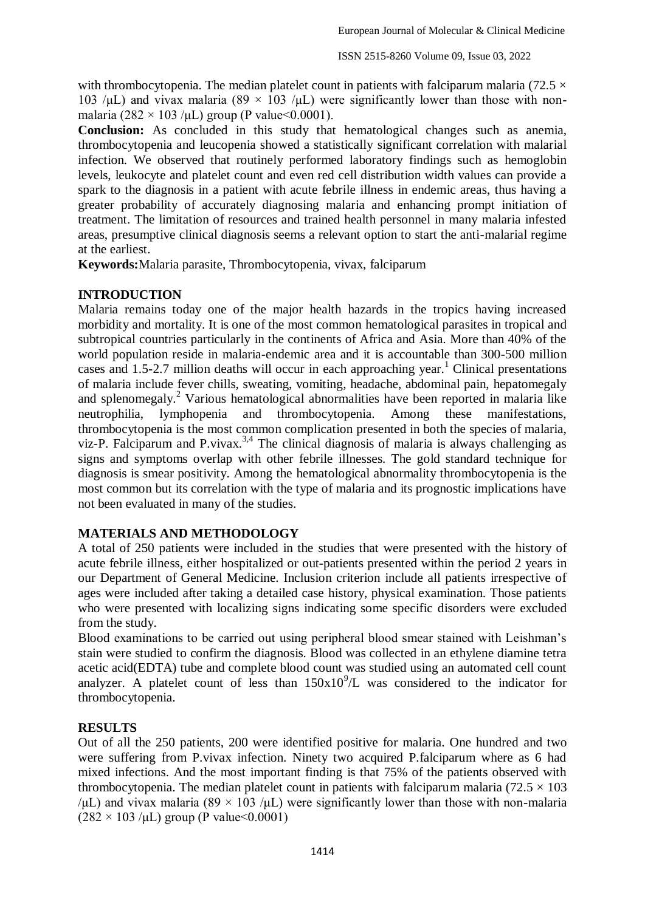with thrombocytopenia. The median platelet count in patients with falciparum malaria (72.5  $\times$ 103 /μL) and vivax malaria (89 × 103 /μL) were significantly lower than those with nonmalaria (282 × 103 /μL) group (P value < 0.0001).

**Conclusion:** As concluded in this study that hematological changes such as anemia, thrombocytopenia and leucopenia showed a statistically significant correlation with malarial infection. We observed that routinely performed laboratory findings such as hemoglobin levels, leukocyte and platelet count and even red cell distribution width values can provide a spark to the diagnosis in a patient with acute febrile illness in endemic areas, thus having a greater probability of accurately diagnosing malaria and enhancing prompt initiation of treatment. The limitation of resources and trained health personnel in many malaria infested areas, presumptive clinical diagnosis seems a relevant option to start the anti-malarial regime at the earliest.

**Keywords:**Malaria parasite, Thrombocytopenia, vivax, falciparum

### **INTRODUCTION**

Malaria remains today one of the major health hazards in the tropics having increased morbidity and mortality. It is one of the most common hematological parasites in tropical and subtropical countries particularly in the continents of Africa and Asia. More than 40% of the world population reside in malaria-endemic area and it is accountable than 300-500 million cases and 1.5-2.7 million deaths will occur in each approaching year.<sup>1</sup> Clinical presentations of malaria include fever chills, sweating, vomiting, headache, abdominal pain, hepatomegaly and splenomegaly.<sup>2</sup> Various hematological abnormalities have been reported in malaria like neutrophilia, lymphopenia and thrombocytopenia. Among these manifestations, thrombocytopenia is the most common complication presented in both the species of malaria, viz-P. Falciparum and P.vivax.<sup>3,4</sup> The clinical diagnosis of malaria is always challenging as signs and symptoms overlap with other febrile illnesses. The gold standard technique for diagnosis is smear positivity. Among the hematological abnormality thrombocytopenia is the most common but its correlation with the type of malaria and its prognostic implications have not been evaluated in many of the studies.

### **MATERIALS AND METHODOLOGY**

A total of 250 patients were included in the studies that were presented with the history of acute febrile illness, either hospitalized or out-patients presented within the period 2 years in our Department of General Medicine. Inclusion criterion include all patients irrespective of ages were included after taking a detailed case history, physical examination. Those patients who were presented with localizing signs indicating some specific disorders were excluded from the study.

Blood examinations to be carried out using peripheral blood smear stained with Leishman's stain were studied to confirm the diagnosis. Blood was collected in an ethylene diamine tetra acetic acid(EDTA) tube and complete blood count was studied using an automated cell count analyzer. A platelet count of less than  $150x10^9$ /L was considered to the indicator for thrombocytopenia.

### **RESULTS**

Out of all the 250 patients, 200 were identified positive for malaria. One hundred and two were suffering from P.vivax infection. Ninety two acquired P.falciparum where as 6 had mixed infections. And the most important finding is that 75% of the patients observed with thrombocytopenia. The median platelet count in patients with falciparum malaria ( $72.5 \times 103$ ) /μL) and vivax malaria (89  $\times$  103 /μL) were significantly lower than those with non-malaria  $(282 \times 103 \mu L)$  group (P value  $0.0001$ )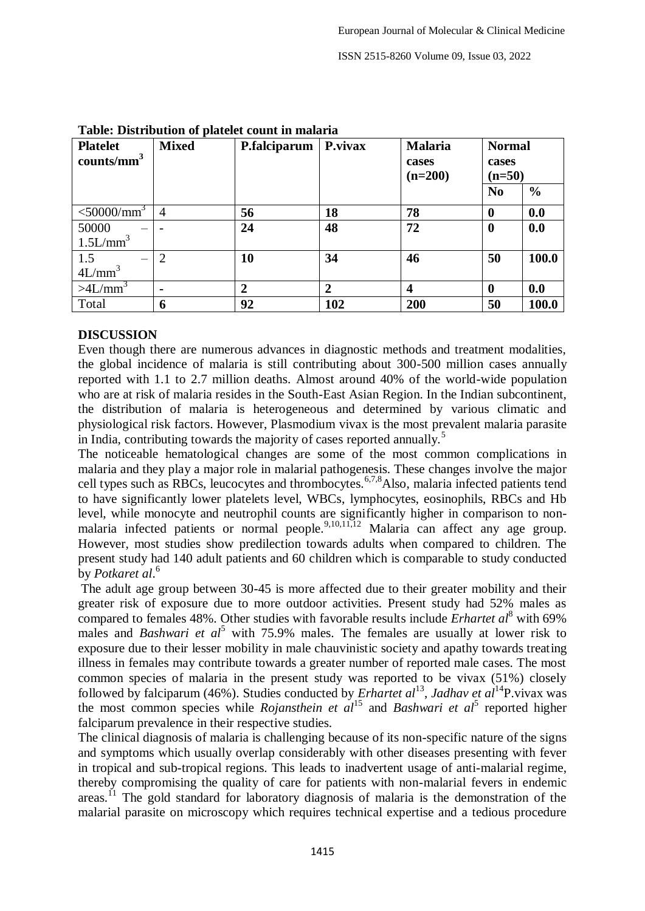ISSN 2515-8260 Volume 09, Issue 03, 2022

| <b>Platelet</b><br>counts/mm <sup>3</sup> | <b>Mixed</b>   | P.falciparum   | P.vivax        | <b>Malaria</b><br>cases<br>$(n=200)$ | <b>Normal</b><br>cases<br>$(n=50)$ |               |
|-------------------------------------------|----------------|----------------|----------------|--------------------------------------|------------------------------------|---------------|
|                                           |                |                |                |                                      | N <sub>0</sub>                     | $\frac{0}{0}$ |
| $<$ 50000/mm <sup>3</sup>                 | 4              | 56             | 18             | 78                                   | $\bf{0}$                           | 0.0           |
| 50000                                     |                | 24             | 48             | 72                                   | $\boldsymbol{0}$                   | 0.0           |
| 1.5L/mm <sup>3</sup>                      |                |                |                |                                      |                                    |               |
| $1.5$<br>$4L/mm3$                         | $\overline{2}$ | 10             | 34             | 46                                   | 50                                 | 100.0         |
|                                           |                |                |                |                                      |                                    |               |
| $>4L/mm^3$                                | $\blacksquare$ | $\overline{2}$ | $\overline{2}$ | $\boldsymbol{4}$                     | 0                                  | 0.0           |
| Total                                     | 6              | 92             | 102            | 200                                  | 50                                 | 100.0         |

#### **Table: Distribution of platelet count in malaria**

### **DISCUSSION**

Even though there are numerous advances in diagnostic methods and treatment modalities, the global incidence of malaria is still contributing about 300-500 million cases annually reported with 1.1 to 2.7 million deaths. Almost around 40% of the world-wide population who are at risk of malaria resides in the South-East Asian Region. In the Indian subcontinent, the distribution of malaria is heterogeneous and determined by various climatic and physiological risk factors. However, Plasmodium vivax is the most prevalent malaria parasite in India, contributing towards the majority of cases reported annually.<sup>5</sup>

The noticeable hematological changes are some of the most common complications in malaria and they play a major role in malarial pathogenesis. These changes involve the major cell types such as RBCs, leucocytes and thrombocytes.<sup>6,7,8</sup>Also, malaria infected patients tend to have significantly lower platelets level, WBCs, lymphocytes, eosinophils, RBCs and Hb level, while monocyte and neutrophil counts are significantly higher in comparison to nonmalaria infected patients or normal people.  $9,10,11,12$  Malaria can affect any age group. However, most studies show predilection towards adults when compared to children. The present study had 140 adult patients and 60 children which is comparable to study conducted by *Potkaret al*. 6

The adult age group between 30-45 is more affected due to their greater mobility and their greater risk of exposure due to more outdoor activities. Present study had 52% males as compared to females 48%. Other studies with favorable results include *Erhartet al*<sup>8</sup> with 69% males and *Bashwari et al*<sup>5</sup> with 75.9% males. The females are usually at lower risk to exposure due to their lesser mobility in male chauvinistic society and apathy towards treating illness in females may contribute towards a greater number of reported male cases. The most common species of malaria in the present study was reported to be vivax (51%) closely followed by falciparum (46%). Studies conducted by *Erhartet al*<sup>13</sup>, Jadhav et al<sup>14</sup>P.vivax was the most common species while *Rojansthein et*  $al^{15}$  and *Bashwari et al*<sup>5</sup> reported higher falciparum prevalence in their respective studies.

The clinical diagnosis of malaria is challenging because of its non-specific nature of the signs and symptoms which usually overlap considerably with other diseases presenting with fever in tropical and sub-tropical regions. This leads to inadvertent usage of anti-malarial regime, thereby compromising the quality of care for patients with non-malarial fevers in endemic areas.<sup>11</sup> The gold standard for laboratory diagnosis of malaria is the demonstration of the malarial parasite on microscopy which requires technical expertise and a tedious procedure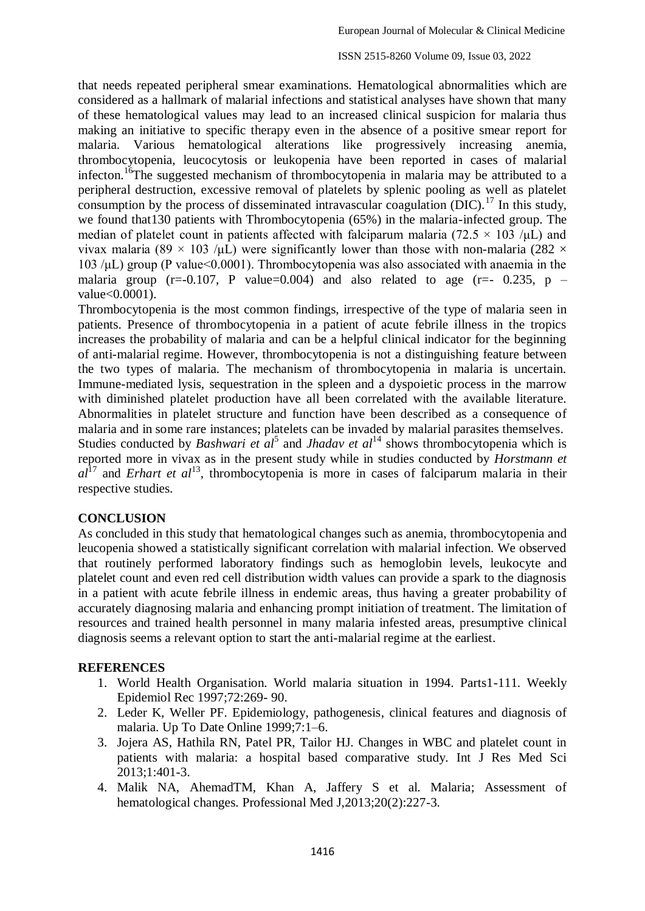#### ISSN 2515-8260 Volume 09, Issue 03, 2022

that needs repeated peripheral smear examinations. Hematological abnormalities which are considered as a hallmark of malarial infections and statistical analyses have shown that many of these hematological values may lead to an increased clinical suspicion for malaria thus making an initiative to specific therapy even in the absence of a positive smear report for malaria. Various hematological alterations like progressively increasing anemia, thrombocytopenia, leucocytosis or leukopenia have been reported in cases of malarial infecton.<sup>16</sup>The suggested mechanism of thrombocytopenia in malaria may be attributed to a peripheral destruction, excessive removal of platelets by splenic pooling as well as platelet consumption by the process of disseminated intravascular coagulation  $(DIC)^{17}$  In this study, we found that130 patients with Thrombocytopenia (65%) in the malaria-infected group. The median of platelet count in patients affected with falciparum malaria (72.5  $\times$  103 / $\mu$ L) and vivax malaria (89 × 103 /μL) were significantly lower than those with non-malaria (282  $\times$  $103 / \mu L$ ) group (P value  $0.0001$ ). Thrombocytopenia was also associated with anaemia in the malaria group (r=-0.107, P value=0.004) and also related to age (r=- 0.235, p – value<0.0001).

Thrombocytopenia is the most common findings, irrespective of the type of malaria seen in patients. Presence of thrombocytopenia in a patient of acute febrile illness in the tropics increases the probability of malaria and can be a helpful clinical indicator for the beginning of anti-malarial regime. However, thrombocytopenia is not a distinguishing feature between the two types of malaria. The mechanism of thrombocytopenia in malaria is uncertain. Immune-mediated lysis, sequestration in the spleen and a dyspoietic process in the marrow with diminished platelet production have all been correlated with the available literature. Abnormalities in platelet structure and function have been described as a consequence of malaria and in some rare instances; platelets can be invaded by malarial parasites themselves. Studies conducted by *Bashwari et*  $a l^5$  and *Jhadav et*  $a l^{14}$  shows thrombocytopenia which is reported more in vivax as in the present study while in studies conducted by *Horstmann et*   $a^{17}$  and *Erhart et al*<sup>13</sup>, thrombocytopenia is more in cases of falciparum malaria in their respective studies.

#### **CONCLUSION**

As concluded in this study that hematological changes such as anemia, thrombocytopenia and leucopenia showed a statistically significant correlation with malarial infection. We observed that routinely performed laboratory findings such as hemoglobin levels, leukocyte and platelet count and even red cell distribution width values can provide a spark to the diagnosis in a patient with acute febrile illness in endemic areas, thus having a greater probability of accurately diagnosing malaria and enhancing prompt initiation of treatment. The limitation of resources and trained health personnel in many malaria infested areas, presumptive clinical diagnosis seems a relevant option to start the anti-malarial regime at the earliest.

#### **REFERENCES**

- 1. World Health Organisation. World malaria situation in 1994. Parts1-111. Weekly Epidemiol Rec 1997;72:269- 90.
- 2. Leder K, Weller PF. Epidemiology, pathogenesis, clinical features and diagnosis of malaria. Up To Date Online 1999;7:1–6.
- 3. Jojera AS, Hathila RN, Patel PR, Tailor HJ. Changes in WBC and platelet count in patients with malaria: a hospital based comparative study. Int J Res Med Sci 2013;1:401-3.
- 4. Malik NA, AhemadTM, Khan A, Jaffery S et al. Malaria; Assessment of hematological changes. Professional Med J,2013;20(2):227-3.